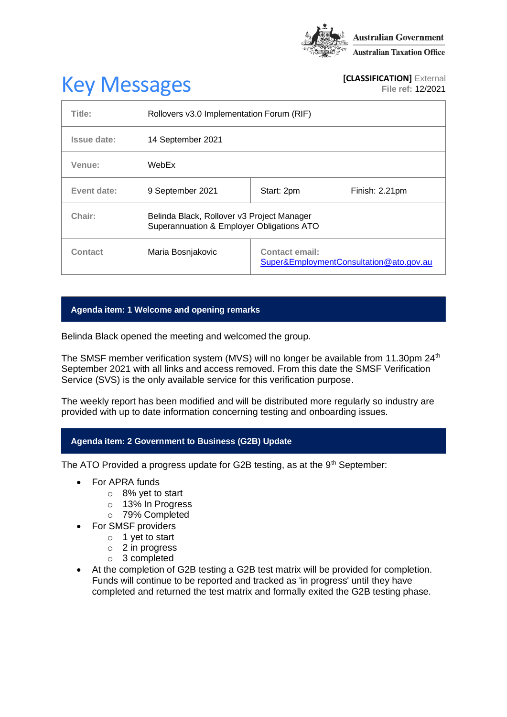

# **Key Messages [CLASSIFICATION]** External **[CLASSIFICATION]** External

**File ref:** 12/2021

| Title:      | Rollovers v3.0 Implementation Forum (RIF)                                               |                                                                  |                |
|-------------|-----------------------------------------------------------------------------------------|------------------------------------------------------------------|----------------|
| Issue date: | 14 September 2021                                                                       |                                                                  |                |
| Venue:      | WebEx                                                                                   |                                                                  |                |
| Event date: | 9 September 2021                                                                        | Start: 2pm                                                       | Finish: 2.21pm |
| Chair:      | Belinda Black, Rollover v3 Project Manager<br>Superannuation & Employer Obligations ATO |                                                                  |                |
| Contact     | Maria Bosnjakovic                                                                       | <b>Contact email:</b><br>Super&EmploymentConsultation@ato.gov.au |                |

# **Agenda item: 1 Welcome and opening remarks**

Belinda Black opened the meeting and welcomed the group.

The SMSF member verification system (MVS) will no longer be available from 11.30pm 24<sup>th</sup> September 2021 with all links and access removed. From this date the SMSF Verification Service (SVS) is the only available service for this verification purpose.

The weekly report has been modified and will be distributed more regularly so industry are provided with up to date information concerning testing and onboarding issues.

# **Agenda item: 2 Government to Business (G2B) Update**

The ATO Provided a progress update for G2B testing, as at the  $9<sup>th</sup>$  September:

- For APRA funds
	- o 8% yet to start
	- o 13% In Progress
	- o 79% Completed
- For SMSF providers
	- $\circ$  1 yet to start
	- o 2 in progress
	- o 3 completed
- At the completion of G2B testing a G2B test matrix will be provided for completion. Funds will continue to be reported and tracked as 'in progress' until they have completed and returned the test matrix and formally exited the G2B testing phase.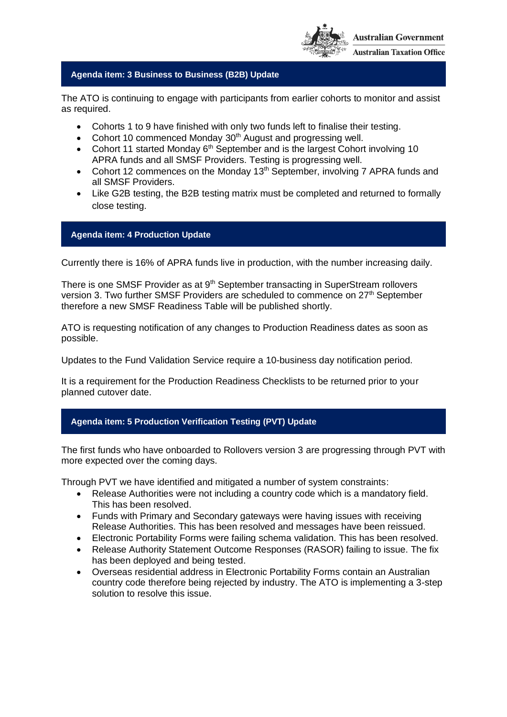

# **Agenda item: 3 Business to Business (B2B) Update**

The ATO is continuing to engage with participants from earlier cohorts to monitor and assist as required.

- Cohorts 1 to 9 have finished with only two funds left to finalise their testing.
- Cohort 10 commenced Monday 30<sup>th</sup> August and progressing well.
- Cohort 11 started Monday  $6<sup>th</sup>$  September and is the largest Cohort involving 10 APRA funds and all SMSF Providers. Testing is progressing well.
- Cohort 12 commences on the Monday 13<sup>th</sup> September, involving 7 APRA funds and all SMSF Providers.
- Like G2B testing, the B2B testing matrix must be completed and returned to formally close testing.

# **Agenda item: 4 Production Update**

Currently there is 16% of APRA funds live in production, with the number increasing daily.

There is one SMSF Provider as at 9<sup>th</sup> September transacting in SuperStream rollovers version 3. Two further SMSF Providers are scheduled to commence on 27<sup>th</sup> September therefore a new SMSF Readiness Table will be published shortly.

ATO is requesting notification of any changes to Production Readiness dates as soon as possible.

Updates to the Fund Validation Service require a 10-business day notification period.

It is a requirement for the Production Readiness Checklists to be returned prior to your planned cutover date.

# **Agenda item: 5 Production Verification Testing (PVT) Update**

The first funds who have onboarded to Rollovers version 3 are progressing through PVT with more expected over the coming days.

Through PVT we have identified and mitigated a number of system constraints:

- Release Authorities were not including a country code which is a mandatory field. This has been resolved.
- Funds with Primary and Secondary gateways were having issues with receiving Release Authorities. This has been resolved and messages have been reissued.
- Electronic Portability Forms were failing schema validation. This has been resolved.
- Release Authority Statement Outcome Responses (RASOR) failing to issue. The fix has been deployed and being tested.
- Overseas residential address in Electronic Portability Forms contain an Australian country code therefore being rejected by industry. The ATO is implementing a 3-step solution to resolve this issue.